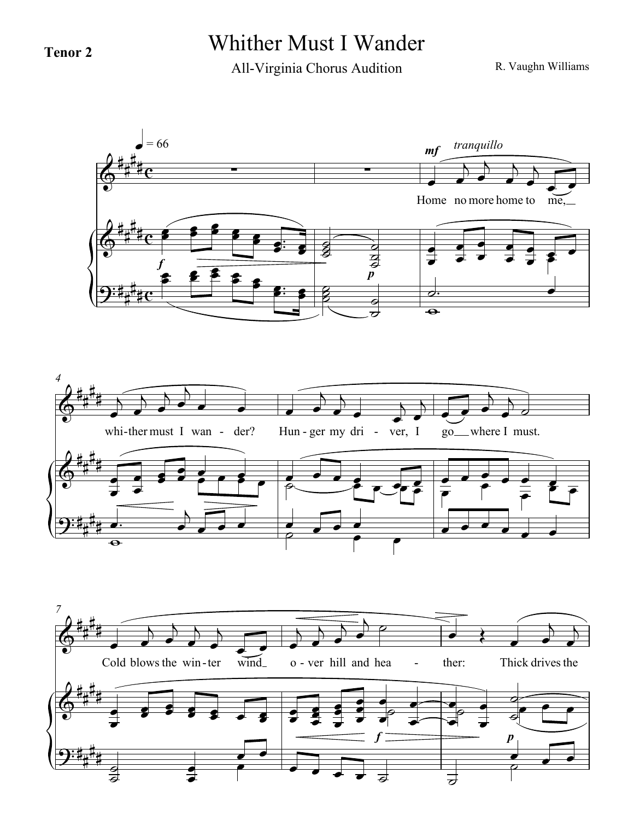## **Tenor 2** Whither Must I Wander

All-Virginia Chorus Audition

R. Vaughn Williams